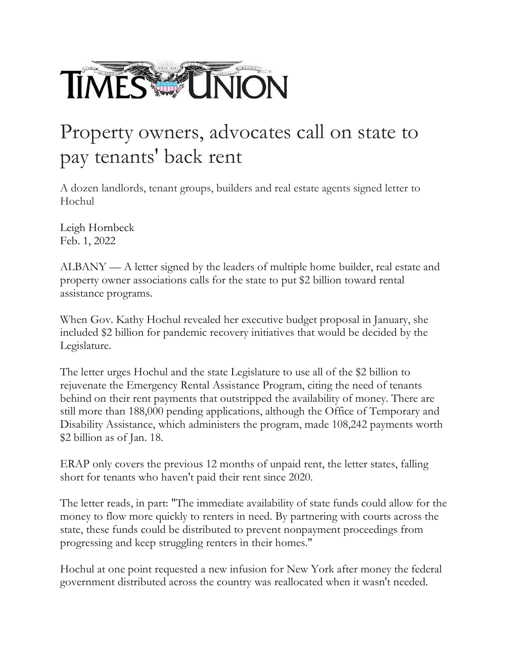

## Property owners, advocates call on state to pay tenants' back rent

A dozen landlords, tenant groups, builders and real estate agents signed letter to Hochul

Leigh Hornbeck Feb. 1, 2022

ALBANY — A letter signed by the leaders of multiple home builder, real estate and property owner associations calls for the state to put \$2 billion toward rental assistance programs.

When Gov. Kathy Hochul revealed her executive budget proposal in January, she included \$2 billion for pandemic recovery initiatives that would be decided by the Legislature.

The letter urges Hochul and the state Legislature to use all of the \$2 billion to rejuvenate the Emergency Rental Assistance Program, citing the need of tenants behind on their rent payments that outstripped the availability of money. There are still more than 188,000 pending applications, although the Office of Temporary and Disability Assistance, which administers the program, made 108,242 payments worth \$2 billion as of Jan. 18.

ERAP only covers the previous 12 months of unpaid rent, the letter states, falling short for tenants who haven't paid their rent since 2020.

The letter reads, in part: "The immediate availability of state funds could allow for the money to flow more quickly to renters in need. By partnering with courts across the state, these funds could be distributed to prevent nonpayment proceedings from progressing and keep struggling renters in their homes."

Hochul at one point requested a new infusion for New York after money the federal government distributed across the country was reallocated when it wasn't needed.